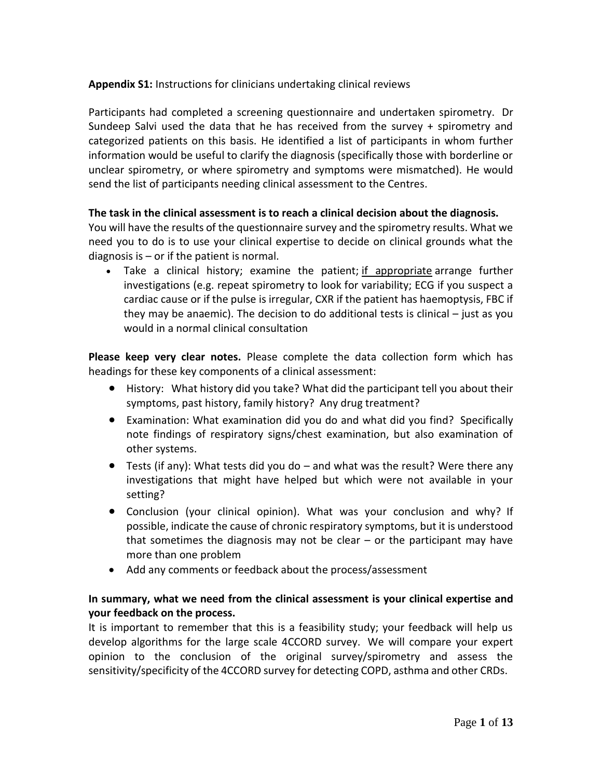## **Appendix S1:** Instructions for clinicians undertaking clinical reviews

Participants had completed a screening questionnaire and undertaken spirometry. Dr Sundeep Salvi used the data that he has received from the survey + spirometry and categorized patients on this basis. He identified a list of participants in whom further information would be useful to clarify the diagnosis (specifically those with borderline or unclear spirometry, or where spirometry and symptoms were mismatched). He would send the list of participants needing clinical assessment to the Centres.

## **The task in the clinical assessment is to reach a clinical decision about the diagnosis.**

You will have the results of the questionnaire survey and the spirometry results. What we need you to do is to use your clinical expertise to decide on clinical grounds what the diagnosis is – or if the patient is normal.

• Take a clinical history; examine the patient; if appropriate arrange further investigations (e.g. repeat spirometry to look for variability; ECG if you suspect a cardiac cause or if the pulse is irregular, CXR if the patient has haemoptysis, FBC if they may be anaemic). The decision to do additional tests is clinical – just as you would in a normal clinical consultation

**Please keep very clear notes.** Please complete the data collection form which has headings for these key components of a clinical assessment:

- History: What history did you take? What did the participant tell you about their symptoms, past history, family history? Any drug treatment?
- Examination: What examination did you do and what did you find? Specifically note findings of respiratory signs/chest examination, but also examination of other systems.
- Tests (if any): What tests did you do and what was the result? Were there any investigations that might have helped but which were not available in your setting?
- Conclusion (your clinical opinion). What was your conclusion and why? If possible, indicate the cause of chronic respiratory symptoms, but it is understood that sometimes the diagnosis may not be clear  $-$  or the participant may have more than one problem
- Add any comments or feedback about the process/assessment

## **In summary, what we need from the clinical assessment is your clinical expertise and your feedback on the process.**

It is important to remember that this is a feasibility study; your feedback will help us develop algorithms for the large scale 4CCORD survey. We will compare your expert opinion to the conclusion of the original survey/spirometry and assess the sensitivity/specificity of the 4CCORD survey for detecting COPD, asthma and other CRDs.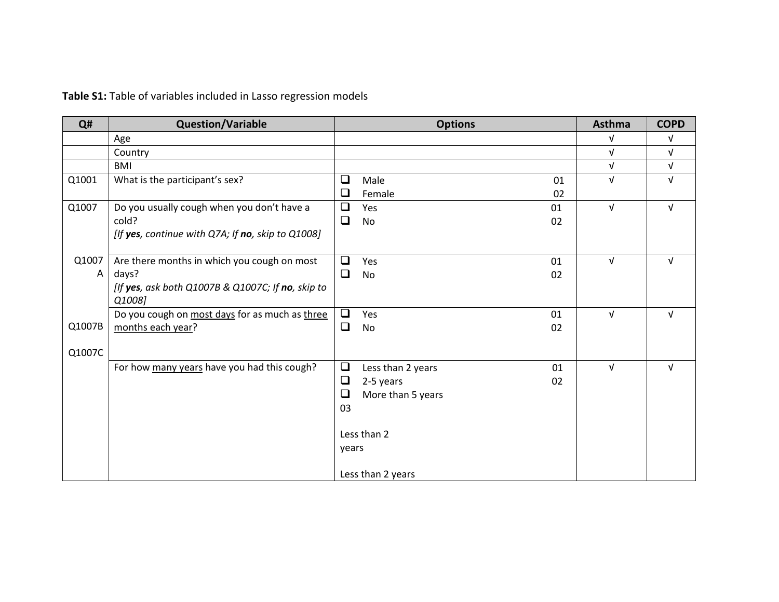## **Table S1:** Table of variables included in Lasso regression models

| Q#     | <b>Question/Variable</b>                          |        | <b>Options</b>    |    | Asthma     | <b>COPD</b> |
|--------|---------------------------------------------------|--------|-------------------|----|------------|-------------|
|        | Age                                               |        |                   |    | $\sqrt{ }$ | $\sqrt{ }$  |
|        | Country                                           |        |                   |    | $\sqrt{ }$ | $\sqrt{ }$  |
|        | <b>BMI</b>                                        |        |                   |    | $\sqrt{ }$ | $\sqrt{ }$  |
| Q1001  | What is the participant's sex?                    | ❏      | Male              | 01 | $\sqrt{ }$ | $\sqrt{ }$  |
|        |                                                   | ⊔      | Female            | 02 |            |             |
| Q1007  | Do you usually cough when you don't have a        | ◻      | Yes               | 01 | $\sqrt{ }$ | $\sqrt{ }$  |
|        | cold?                                             | ❏      | No                | 02 |            |             |
|        | [If yes, continue with Q7A; If no, skip to Q1008] |        |                   |    |            |             |
|        |                                                   |        |                   |    |            |             |
| Q1007  | Are there months in which you cough on most       | ❏      | Yes               | 01 | $\sqrt{ }$ | $\sqrt{ }$  |
| A      | days?                                             | $\Box$ | No                | 02 |            |             |
|        | [If yes, ask both Q1007B & Q1007C; If no, skip to |        |                   |    |            |             |
|        | Q1008]                                            |        |                   |    |            |             |
|        | Do you cough on most days for as much as three    | $\Box$ | Yes               | 01 | $\sqrt{ }$ | $\sqrt{ }$  |
| Q1007B | months each year?                                 | $\Box$ | No                | 02 |            |             |
|        |                                                   |        |                   |    |            |             |
| Q1007C |                                                   |        |                   |    |            |             |
|        | For how many years have you had this cough?       | $\Box$ | Less than 2 years | 01 | $\sqrt{ }$ | $\sqrt{ }$  |
|        |                                                   | $\Box$ | 2-5 years         | 02 |            |             |
|        |                                                   | ❏      | More than 5 years |    |            |             |
|        |                                                   | 03     |                   |    |            |             |
|        |                                                   |        | Less than 2       |    |            |             |
|        |                                                   |        |                   |    |            |             |
|        |                                                   | years  |                   |    |            |             |
|        |                                                   |        | Less than 2 years |    |            |             |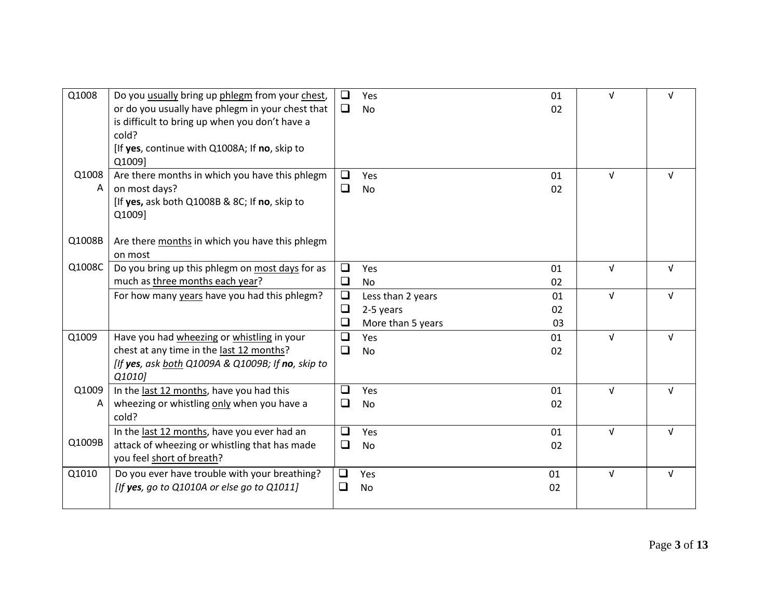| Q1008      | Do you usually bring up phlegm from your chest,<br>or do you usually have phlegm in your chest that<br>is difficult to bring up when you don't have a<br>cold?<br>[If yes, continue with Q1008A; If no, skip to<br>Q1009] | □<br>$\Box$      | Yes<br><b>No</b>                                    | 01<br>02       | $\sqrt{ }$ | $\sqrt{ }$ |
|------------|---------------------------------------------------------------------------------------------------------------------------------------------------------------------------------------------------------------------------|------------------|-----------------------------------------------------|----------------|------------|------------|
| Q1008<br>Α | Are there months in which you have this phlegm<br>on most days?<br>[If yes, ask both Q1008B & 8C; If no, skip to<br>Q1009]                                                                                                | ◻<br>$\Box$      | Yes<br>No                                           | 01<br>02       | $\sqrt{ }$ | $\sqrt{ }$ |
| Q1008B     | Are there months in which you have this phlegm<br>on most                                                                                                                                                                 |                  |                                                     |                |            |            |
| Q1008C     | Do you bring up this phlegm on most days for as<br>much as three months each year?                                                                                                                                        | ❏<br>❏           | Yes<br><b>No</b>                                    | 01<br>02       | $\sqrt{ }$ | $\sqrt{ }$ |
|            | For how many years have you had this phlegm?                                                                                                                                                                              | $\Box$<br>❏<br>❏ | Less than 2 years<br>2-5 years<br>More than 5 years | 01<br>02<br>03 | $\sqrt{ }$ | $\sqrt{ }$ |
| Q1009      | Have you had wheezing or whistling in your<br>chest at any time in the last 12 months?<br>[If yes, ask both Q1009A & Q1009B; If no, skip to<br>Q1010]                                                                     | ❏<br>❏           | Yes<br><b>No</b>                                    | 01<br>02       | $\sqrt{ }$ | $\sqrt{ }$ |
| Q1009<br>A | In the last 12 months, have you had this<br>wheezing or whistling only when you have a<br>cold?                                                                                                                           | □<br>$\Box$      | Yes<br><b>No</b>                                    | 01<br>02       | $\sqrt{ }$ | $\sqrt{ }$ |
| Q1009B     | In the last 12 months, have you ever had an<br>attack of wheezing or whistling that has made<br>you feel short of breath?                                                                                                 | □<br>❏           | Yes<br><b>No</b>                                    | 01<br>02       | $\sqrt{ }$ | $\sqrt{ }$ |
| Q1010      | Do you ever have trouble with your breathing?<br>[If yes, go to Q1010A or else go to Q1011]                                                                                                                               | ❏<br>$\Box$      | Yes<br><b>No</b>                                    | 01<br>02       | $\sqrt{ }$ | $\sqrt{ }$ |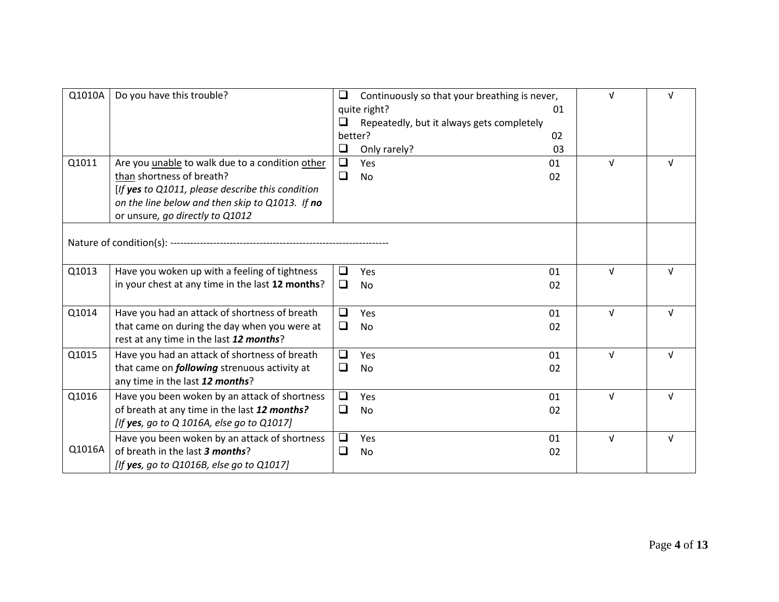| Q1010A | Do you have this trouble?                                                                                                                                                                                                     | ❏<br>❏<br>$\Box$ | Continuously so that your breathing is never,<br>quite right?<br>Repeatedly, but it always gets completely<br>better?<br>Only rarely? | 01<br>02<br>03 | $\sqrt{ }$ | V          |
|--------|-------------------------------------------------------------------------------------------------------------------------------------------------------------------------------------------------------------------------------|------------------|---------------------------------------------------------------------------------------------------------------------------------------|----------------|------------|------------|
| Q1011  | Are you <i>unable</i> to walk due to a condition other<br>than shortness of breath?<br>[If yes to Q1011, please describe this condition<br>on the line below and then skip to Q1013. If no<br>or unsure, go directly to Q1012 | $\Box$<br>❏      | Yes<br><b>No</b>                                                                                                                      | 01<br>02       | $\sqrt{ }$ | v          |
|        |                                                                                                                                                                                                                               |                  |                                                                                                                                       |                |            |            |
| Q1013  | Have you woken up with a feeling of tightness<br>in your chest at any time in the last 12 months?                                                                                                                             | ◻<br>$\Box$      | Yes<br><b>No</b>                                                                                                                      | 01<br>02       | $\sqrt{ }$ | v          |
| Q1014  | Have you had an attack of shortness of breath<br>that came on during the day when you were at<br>rest at any time in the last 12 months?                                                                                      | ◻<br>$\Box$      | Yes<br><b>No</b>                                                                                                                      | 01<br>02       | $\sqrt{ }$ | V          |
| Q1015  | Have you had an attack of shortness of breath<br>that came on <i>following</i> strenuous activity at<br>any time in the last 12 months?                                                                                       | ❏<br>❏           | Yes<br><b>No</b>                                                                                                                      | 01<br>02       | $\sqrt{ }$ | $\sqrt{ }$ |
| Q1016  | Have you been woken by an attack of shortness<br>of breath at any time in the last 12 months?<br>[If yes, go to Q 1016A, else go to Q1017]                                                                                    | $\Box$<br>$\Box$ | Yes<br><b>No</b>                                                                                                                      | 01<br>02       | $\sqrt{ }$ | $\sqrt{ }$ |
| Q1016A | Have you been woken by an attack of shortness<br>of breath in the last 3 months?<br>[If yes, go to $Q1016B$ , else go to $Q1017$ ]                                                                                            | ❏<br>❏           | Yes<br><b>No</b>                                                                                                                      | 01<br>02       | $\sqrt{ }$ | $\sqrt{ }$ |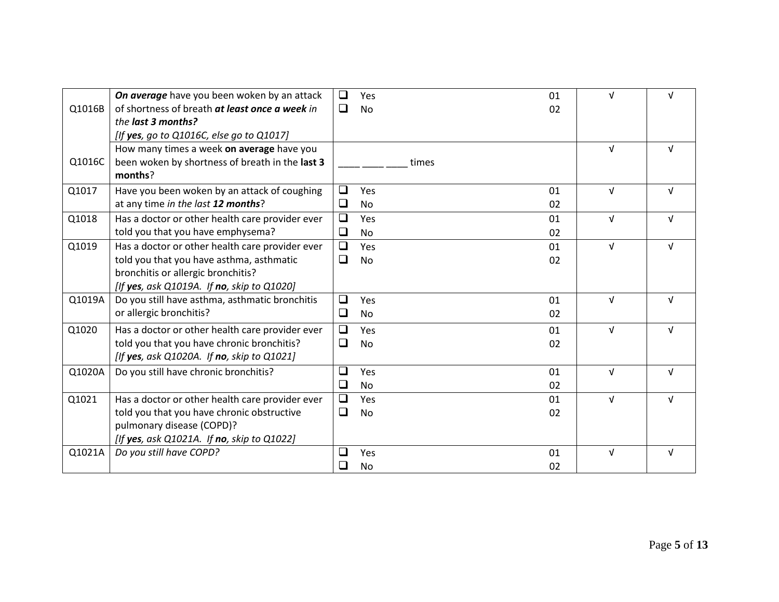|        | On average have you been woken by an attack     | $\Box$ | Yes       | 01 | $\sqrt{ }$ | $\sqrt{ }$ |
|--------|-------------------------------------------------|--------|-----------|----|------------|------------|
| Q1016B | of shortness of breath at least once a week in  | $\Box$ | <b>No</b> | 02 |            |            |
|        | the last 3 months?                              |        |           |    |            |            |
|        | [If yes, go to Q1016C, else go to Q1017]        |        |           |    |            |            |
|        | How many times a week on average have you       |        |           |    | $\sqrt{ }$ | $\sqrt{ }$ |
| Q1016C | been woken by shortness of breath in the last 3 |        | times     |    |            |            |
|        | months?                                         |        |           |    |            |            |
| Q1017  | Have you been woken by an attack of coughing    | ❏      | Yes       | 01 | $\sqrt{ }$ | $\sqrt{ }$ |
|        | at any time in the last 12 months?              | $\Box$ | <b>No</b> | 02 |            |            |
| Q1018  | Has a doctor or other health care provider ever | $\Box$ | Yes       | 01 | $\sqrt{ }$ | $\sqrt{ }$ |
|        | told you that you have emphysema?               | $\Box$ | <b>No</b> | 02 |            |            |
| Q1019  | Has a doctor or other health care provider ever | $\Box$ | Yes       | 01 | $\sqrt{ }$ | $\sqrt{ }$ |
|        | told you that you have asthma, asthmatic        | ❏      | <b>No</b> | 02 |            |            |
|        | bronchitis or allergic bronchitis?              |        |           |    |            |            |
|        | [If yes, ask Q1019A. If no, skip to Q1020]      |        |           |    |            |            |
| Q1019A | Do you still have asthma, asthmatic bronchitis  | $\Box$ | Yes       | 01 | $\sqrt{ }$ | $\sqrt{ }$ |
|        | or allergic bronchitis?                         | $\Box$ | <b>No</b> | 02 |            |            |
| Q1020  | Has a doctor or other health care provider ever | $\Box$ | Yes       | 01 | $\sqrt{ }$ | $\sqrt{ }$ |
|        | told you that you have chronic bronchitis?      | ❏      | <b>No</b> | 02 |            |            |
|        | [If yes, ask Q1020A. If no, skip to Q1021]      |        |           |    |            |            |
| Q1020A | Do you still have chronic bronchitis?           | ❏      | Yes       | 01 | $\sqrt{ }$ | $\sqrt{ }$ |
|        |                                                 | $\Box$ | <b>No</b> | 02 |            |            |
| Q1021  | Has a doctor or other health care provider ever | $\Box$ | Yes       | 01 | $\sqrt{ }$ | $\sqrt{ }$ |
|        | told you that you have chronic obstructive      | ❏      | <b>No</b> | 02 |            |            |
|        | pulmonary disease (COPD)?                       |        |           |    |            |            |
|        | [If yes, ask Q1021A. If no, skip to Q1022]      |        |           |    |            |            |
| Q1021A | Do you still have COPD?                         | ❏      | Yes       | 01 | $\sqrt{ }$ | $\sqrt{ }$ |
|        |                                                 |        | No        | 02 |            |            |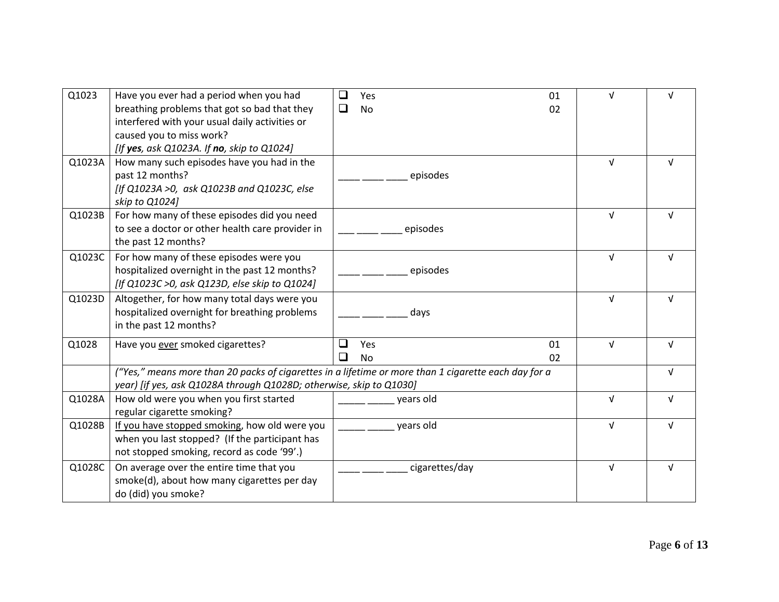| Q1023  | Have you ever had a period when you had                                                              | $\Box$<br>Yes            | 01 | νI         | $\sqrt{ }$ |
|--------|------------------------------------------------------------------------------------------------------|--------------------------|----|------------|------------|
|        | breathing problems that got so bad that they                                                         | $\Box$                   |    |            |            |
|        | interfered with your usual daily activities or                                                       | <b>No</b>                | 02 |            |            |
|        | caused you to miss work?                                                                             |                          |    |            |            |
|        |                                                                                                      |                          |    |            |            |
|        | [If yes, ask Q1023A. If no, skip to Q1024]                                                           |                          |    |            |            |
| Q1023A | How many such episodes have you had in the                                                           |                          |    | $\sqrt{ }$ | $\sqrt{ }$ |
|        | past 12 months?                                                                                      | episodes                 |    |            |            |
|        | [If Q1023A >0, ask Q1023B and Q1023C, else                                                           |                          |    |            |            |
|        | skip to Q1024]                                                                                       |                          |    |            |            |
| Q1023B | For how many of these episodes did you need                                                          |                          |    | $\sqrt{ }$ | V          |
|        | to see a doctor or other health care provider in                                                     | episodes                 |    |            |            |
|        | the past 12 months?                                                                                  |                          |    |            |            |
| Q1023C | For how many of these episodes were you                                                              |                          |    | $\sqrt{ }$ | $\sqrt{ }$ |
|        | hospitalized overnight in the past 12 months?                                                        | episodes                 |    |            |            |
|        | [If Q1023C >0, ask Q123D, else skip to Q1024]                                                        |                          |    |            |            |
| Q1023D | Altogether, for how many total days were you                                                         |                          |    | $\sqrt{ }$ | V          |
|        | hospitalized overnight for breathing problems                                                        | days                     |    |            |            |
|        | in the past 12 months?                                                                               |                          |    |            |            |
|        |                                                                                                      | $\overline{\phantom{a}}$ |    | $\sqrt{ }$ |            |
| Q1028  | Have you ever smoked cigarettes?                                                                     | Yes                      | 01 |            | $\sqrt{ }$ |
|        |                                                                                                      | $\Box$<br><b>No</b>      | 02 |            |            |
|        | ("Yes," means more than 20 packs of cigarettes in a lifetime or more than 1 cigarette each day for a |                          |    |            | $\sqrt{ }$ |
|        | year) [if yes, ask Q1028A through Q1028D; otherwise, skip to Q1030]                                  |                          |    |            |            |
| Q1028A | How old were you when you first started                                                              | years old                |    | $\sqrt{ }$ | $\sqrt{ }$ |
|        | regular cigarette smoking?                                                                           |                          |    |            |            |
| Q1028B | If you have stopped smoking, how old were you                                                        | years old                |    | $\sqrt{ }$ |            |
|        | when you last stopped? (If the participant has                                                       |                          |    |            |            |
|        | not stopped smoking, record as code '99'.)                                                           |                          |    |            |            |
| Q1028C | On average over the entire time that you                                                             | cigarettes/day           |    | $\sqrt{ }$ | $\sqrt{ }$ |
|        | smoke(d), about how many cigarettes per day                                                          |                          |    |            |            |
|        | do (did) you smoke?                                                                                  |                          |    |            |            |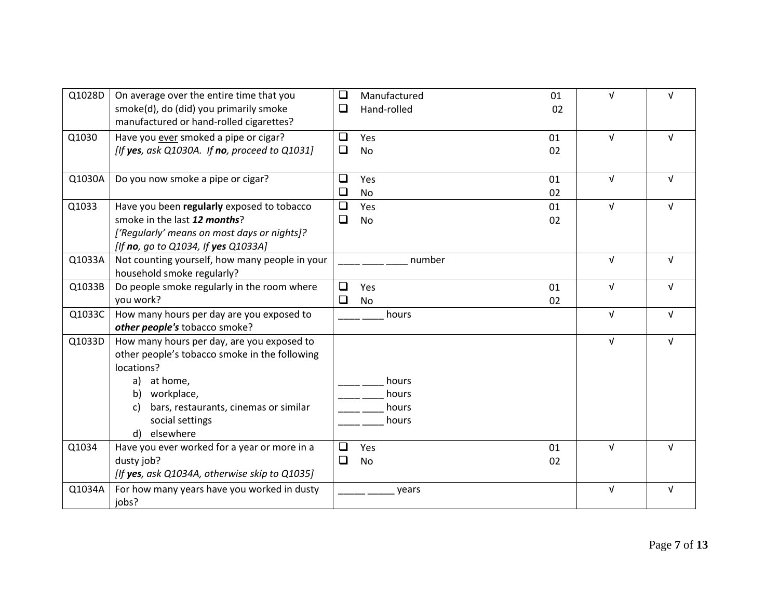| Q1028D | On average over the entire time that you<br>smoke(d), do (did) you primarily smoke | $\Box$<br>❏ | Manufactured<br>Hand-rolled | 01 | $\sqrt{ }$ | $\sqrt{ }$ |
|--------|------------------------------------------------------------------------------------|-------------|-----------------------------|----|------------|------------|
|        | manufactured or hand-rolled cigarettes?                                            |             |                             | 02 |            |            |
| Q1030  | Have you ever smoked a pipe or cigar?                                              | $\Box$      | Yes                         | 01 | $\sqrt{ }$ | $\sqrt{ }$ |
|        | [If yes, ask Q1030A. If no, proceed to $Q1031$ ]                                   | $\Box$      | <b>No</b>                   | 02 |            |            |
| Q1030A | Do you now smoke a pipe or cigar?                                                  | ❏           | Yes                         | 01 | $\sqrt{ }$ | $\sqrt{ }$ |
|        |                                                                                    | ❏           | <b>No</b>                   | 02 |            |            |
| Q1033  | Have you been regularly exposed to tobacco                                         | $\Box$      | Yes                         | 01 | $\sqrt{ }$ | $\sqrt{ }$ |
|        | smoke in the last 12 months?                                                       | ❏           | No                          | 02 |            |            |
|        | ['Regularly' means on most days or nights]?                                        |             |                             |    |            |            |
|        | [If no, go to Q1034, If yes Q1033A]                                                |             |                             |    |            |            |
| Q1033A | Not counting yourself, how many people in your                                     |             | number                      |    | $\sqrt{ }$ | $\sqrt{ }$ |
|        | household smoke regularly?                                                         |             |                             |    |            |            |
| Q1033B | Do people smoke regularly in the room where                                        | $\Box$      | Yes                         | 01 | $\sqrt{ }$ | $\sqrt{ }$ |
|        | you work?                                                                          | $\Box$      | <b>No</b>                   | 02 |            |            |
| Q1033C | How many hours per day are you exposed to                                          |             | hours                       |    | $\sqrt{ }$ | $\sqrt{ }$ |
|        | other people's tobacco smoke?                                                      |             |                             |    |            |            |
| Q1033D | How many hours per day, are you exposed to                                         |             |                             |    | $\sqrt{ }$ | $\sqrt{ }$ |
|        | other people's tobacco smoke in the following                                      |             |                             |    |            |            |
|        | locations?                                                                         |             |                             |    |            |            |
|        | at home,<br>a)                                                                     |             | hours                       |    |            |            |
|        | workplace,<br>b)                                                                   |             | hours                       |    |            |            |
|        | bars, restaurants, cinemas or similar<br>C)                                        |             | hours                       |    |            |            |
|        | social settings                                                                    |             | hours                       |    |            |            |
|        | elsewhere<br>d)                                                                    |             |                             |    |            |            |
| Q1034  | Have you ever worked for a year or more in a                                       | ❏           | Yes                         | 01 | $\sqrt{ }$ | $\sqrt{ }$ |
|        | dusty job?                                                                         | ❏           | No                          | 02 |            |            |
|        | [If yes, ask Q1034A, otherwise skip to Q1035]                                      |             |                             |    |            |            |
| Q1034A | For how many years have you worked in dusty                                        |             | years                       |    | $\sqrt{ }$ | $\sqrt{ }$ |
|        | jobs?                                                                              |             |                             |    |            |            |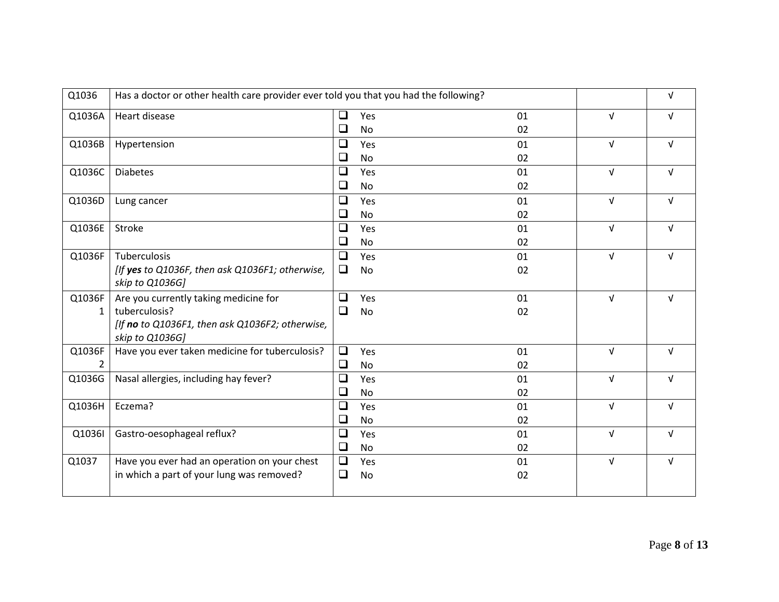| Q1036        | Has a doctor or other health care provider ever told you that you had the following? |        |           |    |            | $\sqrt{ }$ |
|--------------|--------------------------------------------------------------------------------------|--------|-----------|----|------------|------------|
| Q1036A       | Heart disease                                                                        | $\Box$ | Yes       | 01 | $\sqrt{ }$ | $\sqrt{ }$ |
|              |                                                                                      | ❏      | <b>No</b> | 02 |            |            |
| Q1036B       | Hypertension                                                                         | ❏      | Yes       | 01 | $\sqrt{ }$ | $\sqrt{ }$ |
|              |                                                                                      | ❏      | No        | 02 |            |            |
| Q1036C       | <b>Diabetes</b>                                                                      | $\Box$ | Yes       | 01 | $\sqrt{ }$ | $\sqrt{ }$ |
|              |                                                                                      | ❏      | No        | 02 |            |            |
| Q1036D       | Lung cancer                                                                          | ❏      | Yes       | 01 | $\sqrt{ }$ | $\sqrt{ }$ |
|              |                                                                                      | ❏      | No        | 02 |            |            |
| Q1036E       | Stroke                                                                               | $\Box$ | Yes       | 01 | $\sqrt{ }$ | $\sqrt{ }$ |
|              |                                                                                      | ❏      | No        | 02 |            |            |
| Q1036F       | Tuberculosis                                                                         | ❏      | Yes       | 01 | $\sqrt{ }$ | $\sqrt{ }$ |
|              | [If yes to Q1036F, then ask Q1036F1; otherwise,                                      | $\Box$ | No        | 02 |            |            |
|              | skip to Q1036G]                                                                      |        |           |    |            |            |
| Q1036F       | Are you currently taking medicine for                                                | ❏      | Yes       | 01 | $\sqrt{ }$ | $\sqrt{ }$ |
| $\mathbf{1}$ | tuberculosis?                                                                        | $\Box$ | <b>No</b> | 02 |            |            |
|              | [If no to Q1036F1, then ask Q1036F2; otherwise,<br>skip to Q1036G]                   |        |           |    |            |            |
| Q1036F       | Have you ever taken medicine for tuberculosis?                                       | $\Box$ | Yes       | 01 | $\sqrt{ }$ | $\sqrt{ }$ |
| 2            |                                                                                      | $\Box$ | <b>No</b> | 02 |            |            |
| Q1036G       | Nasal allergies, including hay fever?                                                | ❏      | Yes       | 01 | $\sqrt{ }$ | V          |
|              |                                                                                      | $\Box$ | <b>No</b> | 02 |            |            |
| Q1036H       | Eczema?                                                                              | ❏      | Yes       | 01 | $\sqrt{ }$ | $\sqrt{ }$ |
|              |                                                                                      | ❏      | <b>No</b> | 02 |            |            |
| Q1036I       | Gastro-oesophageal reflux?                                                           | ❏      | Yes       | 01 | $\sqrt{ }$ | $\sqrt{ }$ |
|              |                                                                                      | $\Box$ | No        | 02 |            |            |
| Q1037        | Have you ever had an operation on your chest                                         | $\Box$ | Yes       | 01 | $\sqrt{ }$ | $\sqrt{ }$ |
|              | in which a part of your lung was removed?                                            | ❏      | <b>No</b> | 02 |            |            |
|              |                                                                                      |        |           |    |            |            |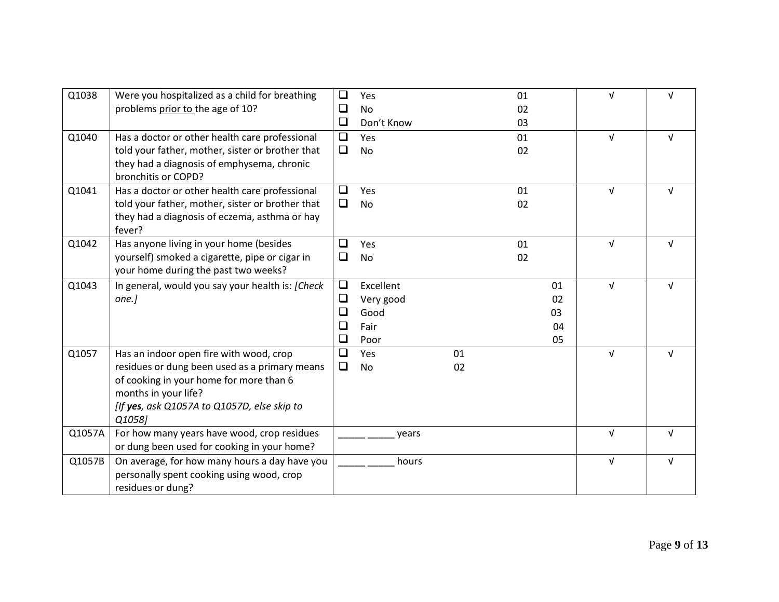| Q1038  | Were you hospitalized as a child for breathing          | □      | Yes        |    | 01 |    | νI         | $\sqrt{ }$ |
|--------|---------------------------------------------------------|--------|------------|----|----|----|------------|------------|
|        | problems prior to the age of 10?                        | ❏      | No         |    | 02 |    |            |            |
|        |                                                         | $\Box$ | Don't Know |    | 03 |    |            |            |
| Q1040  | Has a doctor or other health care professional          | $\Box$ | Yes        |    | 01 |    | $\sqrt{ }$ | $\sqrt{ }$ |
|        | told your father, mother, sister or brother that        | $\Box$ | <b>No</b>  |    | 02 |    |            |            |
|        | they had a diagnosis of emphysema, chronic              |        |            |    |    |    |            |            |
|        | bronchitis or COPD?                                     |        |            |    |    |    |            |            |
| Q1041  | Has a doctor or other health care professional          | ❏      | Yes        |    | 01 |    | $\sqrt{ }$ | $\sqrt{ }$ |
|        | told your father, mother, sister or brother that        | □      | No         |    | 02 |    |            |            |
|        | they had a diagnosis of eczema, asthma or hay<br>fever? |        |            |    |    |    |            |            |
| Q1042  | Has anyone living in your home (besides                 | □      | Yes        |    | 01 |    | $\sqrt{ }$ | $\sqrt{ }$ |
|        | yourself) smoked a cigarette, pipe or cigar in          | ❏      | <b>No</b>  |    | 02 |    |            |            |
|        | your home during the past two weeks?                    |        |            |    |    |    |            |            |
| Q1043  | In general, would you say your health is: [Check]       | $\Box$ | Excellent  |    |    | 01 | $\sqrt{ }$ | v          |
|        | $one.$ ]                                                | ⊔      | Very good  |    |    | 02 |            |            |
|        |                                                         | ⊔      | Good       |    |    | 03 |            |            |
|        |                                                         | ❏      | Fair       |    |    | 04 |            |            |
|        |                                                         | $\Box$ | Poor       |    |    | 05 |            |            |
| Q1057  | Has an indoor open fire with wood, crop                 | $\Box$ | Yes        | 01 |    |    | $\sqrt{ }$ | V          |
|        | residues or dung been used as a primary means           | $\Box$ | <b>No</b>  | 02 |    |    |            |            |
|        | of cooking in your home for more than 6                 |        |            |    |    |    |            |            |
|        | months in your life?                                    |        |            |    |    |    |            |            |
|        | [If yes, ask Q1057A to Q1057D, else skip to             |        |            |    |    |    |            |            |
|        | Q1058]                                                  |        |            |    |    |    |            |            |
| Q1057A | For how many years have wood, crop residues             |        | years      |    |    |    | $\sqrt{ }$ | $\sqrt{ }$ |
|        | or dung been used for cooking in your home?             |        |            |    |    |    |            |            |
| Q1057B | On average, for how many hours a day have you           |        | hours      |    |    |    | $\sqrt{ }$ | $\sqrt{ }$ |
|        | personally spent cooking using wood, crop               |        |            |    |    |    |            |            |
|        | residues or dung?                                       |        |            |    |    |    |            |            |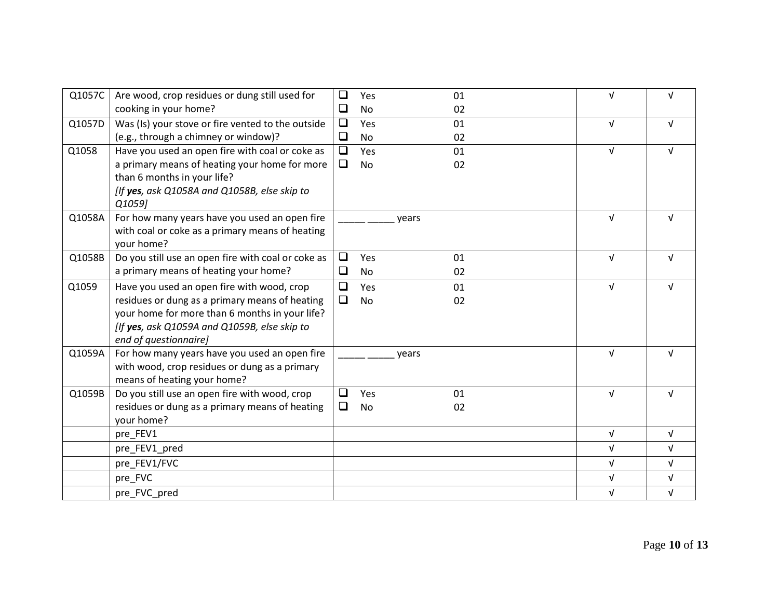| Q1057C | Are wood, crop residues or dung still used for<br>cooking in your home?                                                                                                                                                 | $\Box$<br>$\Box$ | Yes<br>No        | 01<br>02 | $\sqrt{ }$ | $\sqrt{ }$ |
|--------|-------------------------------------------------------------------------------------------------------------------------------------------------------------------------------------------------------------------------|------------------|------------------|----------|------------|------------|
| Q1057D | Was (Is) your stove or fire vented to the outside<br>(e.g., through a chimney or window)?                                                                                                                               | $\Box$<br>$\Box$ | Yes<br><b>No</b> | 01<br>02 | $\sqrt{ }$ | $\sqrt{ }$ |
| Q1058  | Have you used an open fire with coal or coke as<br>a primary means of heating your home for more<br>than 6 months in your life?<br>[If yes, ask Q1058A and Q1058B, else skip to<br>Q1059]                               | $\Box$<br>$\Box$ | Yes<br>No        | 01<br>02 | $\sqrt{ }$ | $\sqrt{ }$ |
| Q1058A | For how many years have you used an open fire<br>with coal or coke as a primary means of heating<br>your home?                                                                                                          |                  | years            |          | $\sqrt{ }$ | $\sqrt{ }$ |
| Q1058B | Do you still use an open fire with coal or coke as<br>a primary means of heating your home?                                                                                                                             | $\Box$<br>❏      | Yes<br><b>No</b> | 01<br>02 | $\sqrt{ }$ | $\sqrt{ }$ |
| Q1059  | Have you used an open fire with wood, crop<br>residues or dung as a primary means of heating<br>your home for more than 6 months in your life?<br>[If yes, ask Q1059A and Q1059B, else skip to<br>end of questionnaire] | □<br>$\Box$      | Yes<br><b>No</b> | 01<br>02 | $\sqrt{ }$ | $\sqrt{ }$ |
| Q1059A | For how many years have you used an open fire<br>with wood, crop residues or dung as a primary<br>means of heating your home?                                                                                           |                  | vears            |          | $\sqrt{ }$ | v          |
| Q1059B | Do you still use an open fire with wood, crop<br>residues or dung as a primary means of heating<br>your home?                                                                                                           | □<br>□           | Yes<br>No        | 01<br>02 | $\sqrt{ }$ | $\sqrt{ }$ |
|        | pre_FEV1                                                                                                                                                                                                                |                  |                  |          | $\sqrt{ }$ | $\sqrt{ }$ |
|        | pre_FEV1_pred                                                                                                                                                                                                           |                  |                  |          | $\sqrt{ }$ | $\sqrt{ }$ |
|        | pre_FEV1/FVC                                                                                                                                                                                                            |                  |                  |          | $\sqrt{ }$ | $\sqrt{ }$ |
|        | pre_FVC                                                                                                                                                                                                                 |                  |                  |          | $\sqrt{ }$ | $\sqrt{ }$ |
|        | pre_FVC_pred                                                                                                                                                                                                            |                  |                  |          | $\sqrt{ }$ | $\sqrt{ }$ |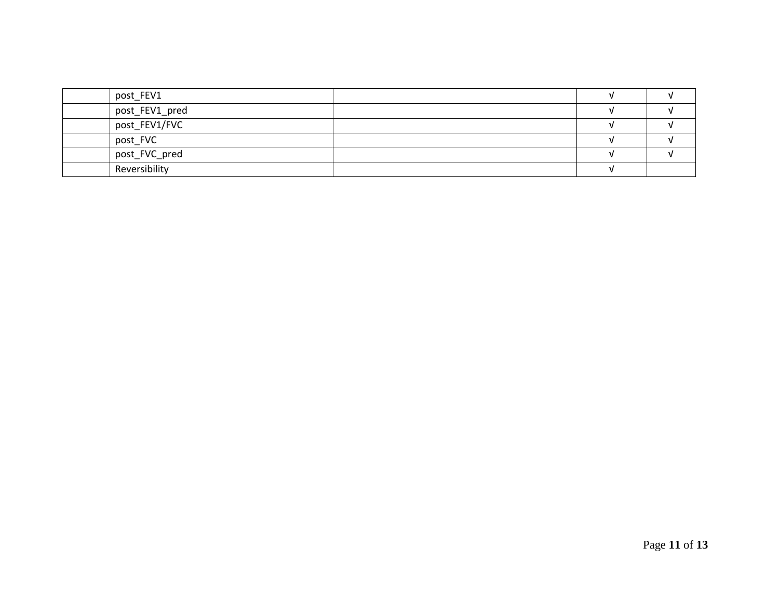| post_FEV1      |  |  |
|----------------|--|--|
| post_FEV1_pred |  |  |
| post_FEV1/FVC  |  |  |
| post_FVC       |  |  |
| post_FVC_pred  |  |  |
| Reversibility  |  |  |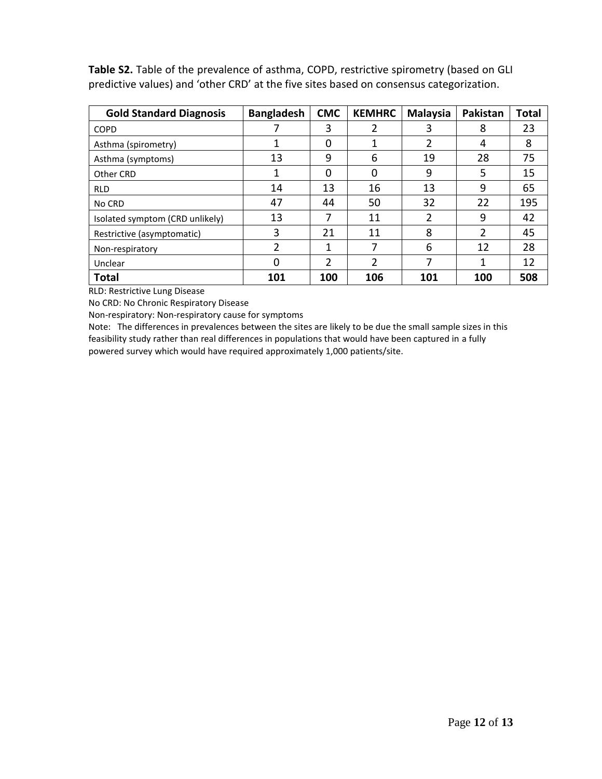**Table S2.** Table of the prevalence of asthma, COPD, restrictive spirometry (based on GLI predictive values) and 'other CRD' at the five sites based on consensus categorization.

| <b>Gold Standard Diagnosis</b>  | <b>Bangladesh</b> | <b>CMC</b>    | <b>KEMHRC</b> | <b>Malaysia</b> | Pakistan | <b>Total</b> |
|---------------------------------|-------------------|---------------|---------------|-----------------|----------|--------------|
| <b>COPD</b>                     |                   | 3             | 2             | 3               | 8        | 23           |
| Asthma (spirometry)             | 1                 | 0             |               | 2               | 4        | 8            |
| Asthma (symptoms)               | 13                | 9             | 6             | 19              | 28       | 75           |
| Other CRD                       | 1                 | O             | 0             | 9               | 5        | 15           |
| <b>RLD</b>                      | 14                | 13            | 16            | 13              | 9        | 65           |
| No CRD                          | 47                | 44            | 50            | 32              | 22       | 195          |
| Isolated symptom (CRD unlikely) | 13                | 7             | 11            | 2               | 9        | 42           |
| Restrictive (asymptomatic)      | 3                 | 21            | 11            | 8               | 2        | 45           |
| Non-respiratory                 | 2                 | 1             | 7             | 6               | 12       | 28           |
| Unclear                         | 0                 | $\mathcal{P}$ | 2             | 7               | 1        | 12           |
| <b>Total</b>                    | 101               | 100           | 106           | 101             | 100      | 508          |

RLD: Restrictive Lung Disease

No CRD: No Chronic Respiratory Disease

Non-respiratory: Non-respiratory cause for symptoms

Note: The differences in prevalences between the sites are likely to be due the small sample sizes in this feasibility study rather than real differences in populations that would have been captured in a fully powered survey which would have required approximately 1,000 patients/site.